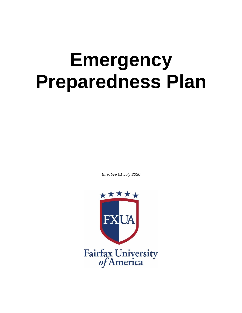# **Emergency Preparedness Plan**

*Effective 01 July 2020*

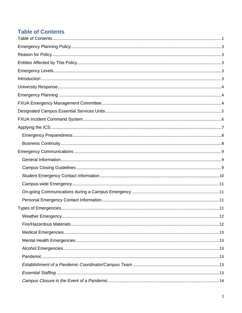# <span id="page-1-0"></span>**Table of Contents**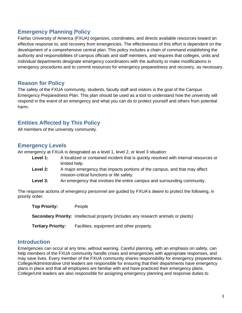# <span id="page-3-0"></span>**Emergency Planning Policy**

Fairfax University of America (FXUA) organizes, coordinates, and directs available resources toward an effective response to, and recovery from emergencies. The effectiveness of this effort is dependent on the development of a comprehensive central plan. This policy includes a chain of command establishing the authority and responsibilities of campus officials and staff members, and requires that colleges, units and individual departments designate emergency coordinators with the authority to make modifications in emergency procedures and to commit resources for emergency preparedness and recovery, as necessary.

# <span id="page-3-1"></span>**Reason for Policy**

The safety of the FXUA community, students, faculty staff and visitors is the goal of the Campus Emergency Preparedness Plan. This plan should be used as a tool to understand how the university will respond in the event of an emergency and what you can do to protect yourself and others from potential harm.

# <span id="page-3-2"></span>**Entities Affected by This Policy**

All members of the university community.

# <span id="page-3-3"></span>**Emergency Levels**

An emergency at FXUA is designated as a level 1, level 2, or level 3 situation:

- **Level 1:** A localized or contained incident that is quickly resolved with internal resources or limited help.
- **Level 2:** A major emergency that impacts portions of the campus, and that may affect mission-critical functions or life safety.
- **Level 3:** An emergency that involves the entire campus and surrounding community.

The response actions of emergency personnel are guided by FXUA's desire to protect the following, in priority order:

| <b>Top Priority:</b>      | People                                                                                     |
|---------------------------|--------------------------------------------------------------------------------------------|
|                           | <b>Secondary Priority:</b> Intellectual property (includes any research animals or plants) |
| <b>Tertiary Priority:</b> | Facilities, equipment and other property.                                                  |

#### <span id="page-3-4"></span>**Introduction**

Emergencies can occur at any time, without warning. Careful planning, with an emphasis on safety, can help members of the FXUA community handle crises and emergencies with appropriate responses, and may save lives. Every member of the FXUA community shares responsibility for emergency preparedness. College/Administrative Unit leaders are responsible for ensuring that their departments have emergency plans in place and that all employees are familiar with and have practiced their emergency plans. College/Unit leaders are also responsible for assigning emergency planning and response duties to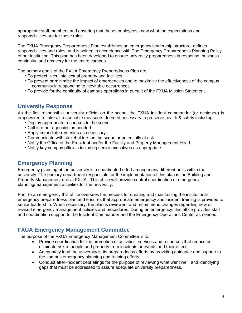appropriate staff members and ensuring that these employees know what the expectations and responsibilities are for these roles.

The FXUA Emergency Preparedness Plan establishes an emergency leadership structure, defines responsibilities and roles, and is written in accordance with The Emergency Preparedness Planning Policy of our institution. This plan has been developed to ensure university preparedness in response, business continuity, and recovery for the entire campus.

The primary goals of the FXUA Emergency Preparedness Plan are:

- To protect lives, intellectual property and facilities.
- To prevent or minimize the impact of emergencies and to maximize the effectiveness of the campus community in responding to inevitable occurrences.
- To provide for the continuity of campus operations in pursuit of the FXUA Mission Statement.

# <span id="page-4-0"></span>**University Response**

As the first responsible university official on the scene, the FXUA incident commander (or designee) is empowered to take all reasonable measures deemed necessary to preserve health & safety including:

- Deploy appropriate resources to the scene
- Call in other agencies as needed
- Apply immediate remedies as necessary
- Communicate with stakeholders on the scene or potentially at risk
- Notify the Office of the President and/or the Facility and Property Management Head
- Notify key campus officials including senior executives as appropriate

# <span id="page-4-1"></span>**Emergency Planning**

Emergency planning at the university is a coordinated effort among many different units within the university. The primary department responsible for the implementation of this plan is the Building and Property Management unit at FXUA. This office will provide central coordination of emergency planning/management activities for the university.

Prior to an emergency this office oversees the process for creating and maintaining the institutional emergency preparedness plan and ensures that appropriate emergency and incident training is provided to senior leadership. When necessary, the plan is reviewed, and recommend changes regarding new or revised emergency management policies and procedures. During an emergency, this office provides staff and coordination support to the Incident Commander and the Emergency Operations Center as needed.

# <span id="page-4-2"></span>**FXUA Emergency Management Committee**

The purpose of the FXUA Emergency Management Committee is to:

- Provide coordination for the promotion of activities, services and resources that reduce or eliminate risk to people and property from incidents or events and their effect,
- Adequately lead the university in its preparedness efforts by providing guidance and support to the campus emergency planning and training efforts
- Conduct after-incident debriefings for the purpose of reviewing what went well, and identifying gaps that must be addressed to assure adequate university preparedness.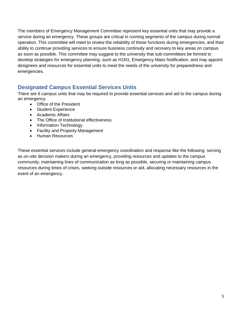The members of Emergency Management Committee represent key essential units that may provide a service during an emergency. These groups are critical in running segments of the campus during normal operation. This committee will meet to review the reliability of these functions during emergencies, and their ability to continue providing services to ensure business continuity and recovery to key areas on campus as soon as possible. This committee may suggest to the university that sub-committees be formed to develop strategies for emergency planning, such as H1N1, Emergency Mass Notification, and may appoint designees and resources for essential units to meet the needs of the university for preparedness and emergencies.

# <span id="page-5-0"></span>**Designated Campus Essential Services Units**

There are 6 campus units that may be required to provide essential services and aid to the campus during an emergency.

- Office of the President
- Student Experience
- Academic Affairs
- The Office of Institutional effectiveness
- Information Technology
- Facility and Property Management
- Human Resources

These essential services include general emergency coordination and response like the following: serving as on-site decision makers during an emergency, providing resources and updates to the campus community, maintaining lines of communication as long as possible, securing or maintaining campus resources during times of crises, seeking outside resources or aid, allocating necessary resources in the event of an emergency.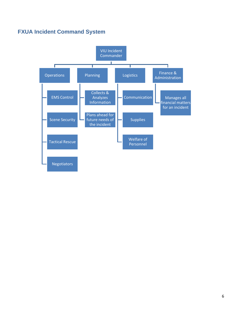# <span id="page-6-0"></span>**FXUA Incident Command System**

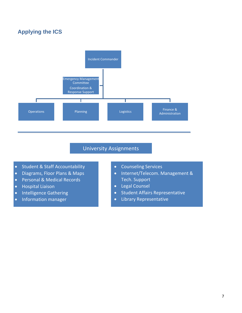# <span id="page-7-0"></span>**Applying the ICS**



## University Assignments

- Student & Staff Accountability
- Diagrams, Floor Plans & Maps
- Personal & Medical Records
- Hospital Liaison
- Intelligence Gathering
- Information manager
- Counseling Services
- Internet/Telecom. Management & Tech. Support
- Legal Counsel
- Student Affairs Representative
- Library Representative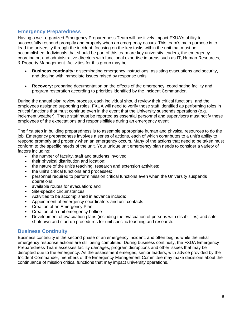#### <span id="page-8-0"></span>**Emergency Preparedness**

Having a well-organized Emergency Preparedness Team will positively impact FXUA's ability to successfully respond promptly and properly when an emergency occurs. This team's main purpose is to lead the university through the incident, focusing on the key tasks within the unit that must be accomplished. Individuals that should be part of this team are key university leaders, the emergency coordinator, and administrative directors with functional expertise in areas such as IT, Human Resources, & Property Management. Activities for this group may be:

- **Business continuity:** disseminating emergency instructions, assisting evacuations and security, and dealing with immediate issues raised by response units.
- **Recovery:** preparing documentation on the effects of the emergency, coordinating facility and program restoration according to priorities identified by the Incident Commander.

During the annual plan review process, each individual should review their critical functions, and the employees assigned supporting roles. FXUA will need to verify those staff identified as performing roles in critical functions that must continue even in the event that the University suspends operations (e.g. inclement weather). These staff must be reported as essential personnel and supervisors must notify these employees of the expectations and responsibilities during an emergency event.

The first step in building preparedness is to assemble appropriate human and physical resources to do the job. Emergency preparedness involves a series of actions, each of which contributes to a unit's ability to respond promptly and properly when an emergency occurs. Many of the actions that need to be taken must conform to the specific needs of the unit. Your unique unit emergency plan needs to consider a variety of factors including:

- the number of faculty, staff and students involved;
- their physical distribution and location;
- the nature of the unit's teaching, research and extension activities;
- the unit's critical functions and processes;
- personnel required to perform mission critical functions even when the University suspends operations;
- available routes for evacuation; and
- Site-specific circumstances.
- Activities to be accomplished in advance include:
- Appointment of emergency coordinators and unit contacts
- Creation of an Emergency Plan
- Creation of a unit emergency hotline
- Development of evacuation plans (including the evacuation of persons with disabilities) and safe shutdown and start up procedures for unit specific teaching and research.

#### <span id="page-8-1"></span>**Business Continuity**

Business continuity is the second phase of an emergency incident, and often begins while the initial emergency response actions are still being completed. During business continuity, the FXUA Emergency Preparedness Team assesses facility damages, program disruptions and other issues that may be disrupted due to the emergency. As the assessment emerges, senior leaders, with advice provided by the Incident Commander, members of the Emergency Management Committee may make decisions about the continuance of mission critical functions that may impact university operations.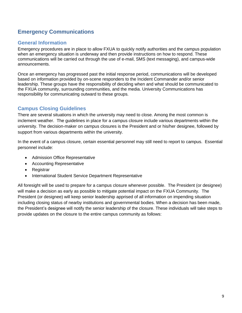# <span id="page-9-0"></span>**Emergency Communications**

#### <span id="page-9-1"></span>**General Information**

Emergency procedures are in place to allow FXUA to quickly notify authorities and the campus population when an emergency situation is underway and then provide instructions on how to respond. These communications will be carried out through the use of e-mail, SMS (text messaging), and campus-wide announcements.

Once an emergency has progressed past the initial response period, communications will be developed based on information provided by on-scene responders to the Incident Commander and/or senior leadership. These groups have the responsibility of deciding when and what should be communicated to the FXUA community, surrounding communities, and the media. University Communications has responsibility for communicating outward to these groups.

#### <span id="page-9-2"></span>**Campus Closing Guidelines**

There are several situations in which the university may need to close. Among the most common is inclement weather. The guidelines in place for a campus closure include various departments within the university. The decision-maker on campus closures is the President and or his/her designee, followed by support from various departments within the university.

In the event of a campus closure, certain essential personnel may still need to report to campus. Essential personnel include:

- Admission Office Representative
- Accounting Representative
- Registrar
- International Student Service Department Representative

All foresight will be used to prepare for a campus closure whenever possible. The President (or designee) will make a decision as early as possible to mitigate potential impact on the FXUA Community. The President (or designee) will keep senior leadership apprised of all information on impending situation including closing status of nearby institutions and governmental bodies. When a decision has been made, the President's designee will notify the senior leadership of the closure. These individuals will take steps to provide updates on the closure to the entire campus community as follows: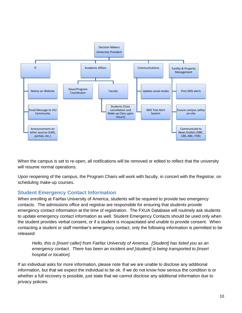

When the campus is set to re-open, all notifications will be removed or edited to reflect that the university will resume normal operations.

Upon reopening of the campus, the Program Chairs will work with faculty, in concert with the Registrar, on scheduling make-up courses.

#### <span id="page-10-0"></span>**Student Emergency Contact Information**

When enrolling at Fairfax University of America, students will be required to provide two emergency contacts. The admissions office and registrar are responsible for ensuring that students provide emergency contact information at the time of registration. The FXUA Database will routinely ask students to update emergency contact information as well. Student Emergency Contacts should be used only when the student provides verbal consent, or if a student is incapacitated and unable to provide consent. When contacting a student or staff member's emergency contact, only the following information is permitted to be released:

*Hello, this is [insert caller] from Fairfax University of America. [Student] has listed you as an emergency contact. There has been an incident and [student] is being transported to [insert hospital or location].* 

If an individual asks for more information, please note that we are unable to disclose any additional information, but that we expect the individual to be ok. If we do not know how serious the condition is or whether a full recovery is possible, just state that we cannot disclose any additional information due to privacy policies.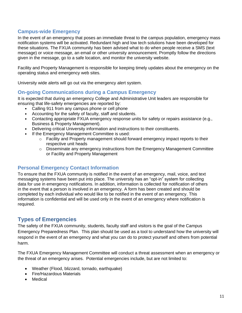#### <span id="page-11-0"></span>**Campus-wide Emergency**

In the event of an emergency that poses an immediate threat to the campus population, emergency mass notification systems will be activated. Redundant high and low tech solutions have been developed for these situations. The FXUA community has been advised what to do when people receive a SMS (text message) or voice message, an email or other university announcement. Promptly follow the directions given in the message, go to a safe location, and monitor the university website.

Facility and Property Management is responsible for keeping timely updates about the emergency on the operating status and emergency web sites.

University wide alerts will go out via the emergency alert system.

#### <span id="page-11-1"></span>**On-going Communications during a Campus Emergency**

It is expected that during an emergency College and Administrative Unit leaders are responsible for ensuring that life-safety emergencies are reported by:

- Calling 911 from any campus phone or cell phone
- Accounting for the safety of faculty, staff and students.
- Contacting appropriate FXUA emergency response units for safety or repairs assistance (e.g., Business & Property Management).
- Delivering critical University information and instructions to their constituents.
- If the Emergency Management Committee is used:
	- $\circ$  Facility and Property management should forward emergency impact reports to their respective unit heads
	- $\circ$  Disseminate any emergency instructions from the Emergency Management Committee or Facility and Property Management

#### <span id="page-11-2"></span>**Personal Emergency Contact Information**

To ensure that the FXUA community is notified in the event of an emergency, mail, voice, and text messaging systems have been put into place. The university has an "opt-in" system for collecting data for use in emergency notifications. In addition, information is collected for notification of others in the event that a person is involved in an emergency. A form has been created and should be completed by each individual who would like to be notified in the event of an emergency. This information is confidential and will be used only in the event of an emergency where notification is required.

# <span id="page-11-3"></span>**Types of Emergencies**

The safety of the FXUA community, students, faculty staff and visitors is the goal of the Campus Emergency Preparedness Plan. This plan should be used as a tool to understand how the university will respond in the event of an emergency and what you can do to protect yourself and others from potential harm.

The FXUA Emergency Management Committee will conduct a threat assessment when an emergency or the threat of an emergency arises. Potential emergencies include, but are not limited to:

- Weather (Flood, blizzard, tornado, earthquake)
- Fire/Hazardous Materials
- Medical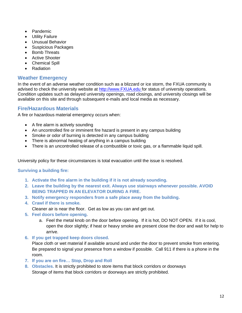- Pandemic
- Utility Failure
- Unusual Behavior
- Suspicious Packages
- Bomb Threats
- Active Shooter
- Chemical Spill
- Radiation

#### <span id="page-12-0"></span>**Weather Emergency**

In the event of an adverse weather condition such as a blizzard or ice storm, the FXUA community is advised to check the university website at [http://www.FXUA.edu](http://www.viu.edu/) for status of university operations. Condition updates such as delayed university openings, road closings, and university closings will be available on this site and through subsequent e-mails and local media as necessary.

#### <span id="page-12-1"></span>**Fire/Hazardous Materials**

A fire or hazardous material emergency occurs when:

- A fire alarm is actively sounding
- An uncontrolled fire or imminent fire hazard is present in any campus building
- Smoke or odor of burning is detected in any campus building
- There is abnormal heating of anything in a campus building
- There is an uncontrolled release of a combustible or toxic gas, or a flammable liquid spill.

University policy for these circumstances is total evacuation until the issue is resolved.

#### **Surviving a building fire:**

- **1. Activate the fire alarm in the building if it is not already sounding.**
- **2. Leave the building by the nearest exit. Always use stairways whenever possible. AVOID BEING TRAPPED IN AN ELEVATOR DURING A FIRE.**
- **3. Notify emergency responders from a safe place away from the building.**
- **4. Crawl if there is smoke.** 
	- Cleaner air is near the floor. Get as low as you can and get out.
- **5. Feel doors before opening.** 
	- a. Feel the metal knob on the door before opening. If it is hot, DO NOT OPEN. If it is cool, open the door slightly; if heat or heavy smoke are present close the door and wait for help to arrive.
- **6. If you get trapped keep doors closed.**

Place cloth or wet material if available around and under the door to prevent smoke from entering. Be prepared to signal your presence from a window if possible. Call 911 if there is a phone in the room.

- **7. If you are on fire… Stop, Drop and Roll**
- **8. Obstacles.** It is strictly prohibited to store items that block corridors or doorways Storage of items that block corridors or doorways are strictly prohibited.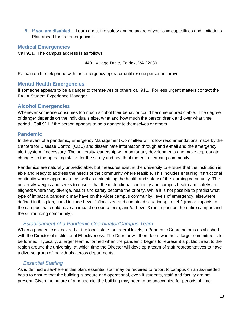**9. If you are disabled…** Learn about fire safety and be aware of your own capabilities and limitations. Plan ahead for fire emergencies.

#### <span id="page-13-0"></span>**Medical Emergencies**

Call 911. The campus address is as follows:

4401 Village Drive, Fairfax, VA 22030

Remain on the telephone with the emergency operator until rescue personnel arrive.

#### <span id="page-13-1"></span>**Mental Health Emergencies**

If someone appears to be a danger to themselves or others call 911. For less urgent matters contact the FXUA Student Experience Manager.

#### <span id="page-13-2"></span>**Alcohol Emergencies**

Whenever someone consumes too much alcohol their behavior could become unpredictable. The degree of danger depends on the individual's size, what and how much the person drank and over what time period. Call 911 if the person appears to be a danger to themselves or others.

#### <span id="page-13-3"></span>**Pandemic**

In the event of a pandemic, Emergency Management Committee will follow recommendations made by the Centers for Disease Control (CDC) and disseminate information through and e-mail and the emergency alert system if necessary. The university leadership will monitor any developments and make appropriate changes to the operating status for the safety and health of the entire learning community.

Pandemics are naturally unpredictable, but measures exist at the university to ensure that the institution is able and ready to address the needs of the community where feasible. This includes ensuring instructional continuity where appropriate, as well as maintaining the health and safety of the learning community. The university weighs and seeks to ensure that the instructional continuity and campus health and safety are aligned; where they diverge, health and safety become the priority. While it is not possible to predict what type of impact a pandemic may have on the wider campus community, levels of emergency, elsewhere defined in this plan, could include Level 1 (localized and contained situations), Level 2 (major impacts to the campus that could have an impact on operations), and/or Level 3 (an impact on the entire campus and the surrounding community).

#### <span id="page-13-4"></span>*Establishment of a Pandemic Coordinator/Campus Team*

When a pandemic is declared at the local, state, or federal levels, a Pandemic Coordinator is established with the Director of institutional Effectiveness. The Director will then deem whether a larger committee is to be formed. Typically, a larger team is formed when the pandemic begins to represent a public threat to the region around the university, at which time the Director will develop a team of staff representatives to have a diverse group of individuals across departments.

#### <span id="page-13-5"></span>*Essential Staffing*

As is defined elsewhere in this plan, essential staff may be required to report to campus on an as-needed basis to ensure that the building is secure and operational, even if students, staff, and faculty are not present. Given the nature of a pandemic, the building may need to be unoccupied for periods of time.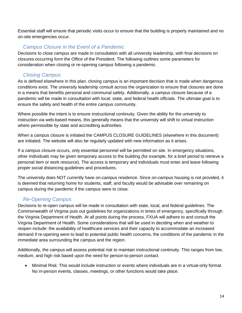Essential staff will ensure that periodic visits occur to ensure that the building is properly maintained and no on-site emergencies occur.

#### <span id="page-14-0"></span>*Campus Closure in the Event of a Pandemic*

Decisions to close campus are made in consultation with all university leadership, with final decisions on closures occurring form the Office of the President. The following outlines some parameters for consideration when closing or re-opening campus following a pandemic.

# <span id="page-14-1"></span>*Closing Campus*

As is defined elsewhere in this plan, closing campus is an important decision that is made when dangerous conditions exist. The university leadership consult across the organization to ensure that closures are done in a means that benefits personal and communal safety. Additionally, a campus closure because of a pandemic will be made in consultation with local, state, and federal health officials. The ultimate goal is to ensure the safety and health of the entire campus community.

Where possible the intent is to ensure instructional continuity. Given the ability for the university to instruction via web-based means, this generally means that the university will shift to virtual instruction where permissible by state and accrediting authorities.

When a campus closure is initiated the CAMPUS CLOSURE GUIDELINES (elsewhere in this document) are initiated. The website will also be regularly updated with new information as it arises.

If a campus closure occurs, only essential personnel will be permitted on site. In emergency situations, other individuals may be given temporary access to the building (for example, for a brief period to retrieve a personal item or work resource). The access is temporary and individuals must enter and leave following proper social distancing guidelines and procedures.

The university does NOT currently have on-campus residence. Since on-campus housing is not provided, it is deemed that returning home for students, staff, and faculty would be advisable over remaining on campus during the pandemic if the campus were to close.

# <span id="page-14-2"></span>*Re-Opening Campus*

Decisions to re-open campus will be made in consultation with state, local, and federal guidelines. The Commonwealth of Virginia puts out guidelines for organizations in times of emergency, specifically through the Virginia Department of Health. At all points during the process, FXUA will adhere to and consult the Virginia Department of Health. Some considerations that will be used in deciding when and weather to reopen include: the availability of healthcare services and their capacity to accommodate an increased demand if re-opening were to lead to potential public health concerns, the conditions of the pandemic in the immediate area surrounding the campus and the region.

Additionally, the campus will assess potential risk to maintain instructional continuity. This ranges from low, medium, and high risk based upon the need for person-to-person contact.

• Minimal Risk: This would include instruction or events where individuals are in a virtual-only format. No in-person events, classes, meetings, or other functions would take place.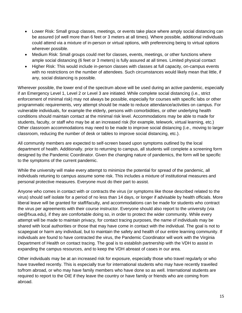- Lower Risk: Small group classes, meetings, or events take place where amply social distancing can be assured (of well more than 6 feet or 3 meters at all times). Where possible, additional individuals could attend via a mixture of in-person or virtual options, with preferencing being to virtual options wherever possible.
- Medium Risk: Small groups could met for classes, events, meetings, or other functions where ample social distancing (6 feet or 3 meters) is fully assured at all times. Limited physical contact
- Higher Risk: This would include in-person classes with classes at full capacity, on-campus events with no restrictions on the number of attendees. Such circumstances would likely mean that little, if any, social distancing is possible.

Wherever possible, the lower end of the spectrum above will be used during an active pandemic, especially if an Emergency Level 1, Level 2 or Level 3 are initiated. While complete social distancing (i.e., strict enforcement of minimal risk) may not always be possible, especially for courses with specific labs or other programmatic requirements, very attempt should be made to reduce attendance/activities on campus. For vulnerable individuals, for example the elderly, persons with comorbidities, or other underlying health conditions should maintain contact at the minimal risk level. Accommodations may be able to made for students, faculty, or staff who may be at an increased risk (for example, telework, virtual learning, etc.) Other classroom accommodations may need to be made to improve social distancing (i.e., moving to larger classroom, reducing the number of desk or tables to improve social distancing, etc.).

All community members are expected to self-screen based upon symptoms outlined by the local department of health. Additionally. prior to returning to campus, all students will complete a screening form designed by the Pandemic Coordinator. Given the changing nature of pandemics, the form will be specific to the symptoms of the current pandemic.

While the university will make every attempt to minimize the potential for spread of the pandemic, all individuals retuning to campus assume some risk. This includes a mixture of institutional measures and personal protective measures. Everyone must do their part to assist.

Anyone who comes in contact with or contracts the virus (or symptoms like those described related to the virus) should self isolate for a period of no less than 14 days, or longer if advisable by health officials. More liberal leave will be granted for staff/faculty, and accommodations can be made for students who contract the virus per agreements with their course instructor. Everyone should also report to the university (via oie@fxua.edu), if they are comfortable doing so, in order to protect the wider community. While every attempt will be made to maintain privacy, for contact tracing purposes, the name of individuals may be shared with local authorities or those that may have come in contact with the individual. The goal is not to scapegoat or harm any individual, but to maintain the safety and health of our entire learning community. If individuals are found to have contracted the virus, the Pandemic Coordinator will work with the Virginia Department of Health on contact tracing. The goal is to establish partnership with the VDH to assist in expanding the campus resources, and to keep the VDH abreast of cases in our area.

Other individuals may be at an increased risk for exposure, especially those who travel regularly or who have travelled recently. This is especially true for international students who may have recently travelled to/from abroad, or who may have family members who have done so as well. International students are required to report to the OIE if they leave the country or have family or friends who are coming from abroad.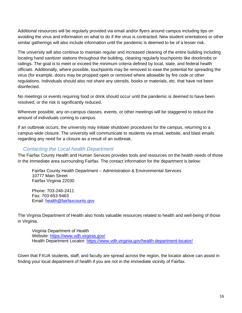Additional resources will be regularly provided via email and/or flyers around campus including tips on avoiding the virus and information on what to do if the virus is contracted. New student orientations or other similar gatherings will also include information until the pandemic is deemed to be of a lesser risk.

The university will also continue to maintain regular and increased cleaning of the entire building including locating hand sanitizer stations throughout the building, cleaning regularly touchpoints like doorknobs or railings. The goal is to meet or exceed the minimum criteria defined by local, state, and federal health officials. Additionally, where possible, touchpoints may be removed to ease the potential for spreading the virus (for example, doors may be propped open or removed where allowable by fire code or other regulations. Individuals should also not share any utensils, books or materials, etc. that have not been disinfected.

No meetings or events requiring food or drink should occur until the pandemic is deemed to have been resolved, or the risk is significantly reduced.

Wherever possible, any on-campus classes, events, or other meetings will be staggered to reduce the amount of individuals coming to campus.

If an outbreak occurs, the university may initiate shutdown procedures for the campus, returning to a campus-wide closure. The university will communicate to students via email, website, and blast emails regarding any need for a closure as a result of an outbreak.

#### *Contacting the Local health Department*

<span id="page-16-0"></span>The Fairfax County Health and Human Services provides tools and resources on the health needs of those in the immediate area surrounding Fairfax. The contact information for the department is below:

Fairfax County Health Department – Administration & Environmental Services 10777 Main Street Fairfax Virginia 22030

Phone: 703-246-2411 Fax: 703-653-9463 Email: [health@fairfaxcounty.gov](mailto:health@fairfaxcounty.gov)

The Virginia Department of Health also hosts valuable resources related to health and well-being of those in Virginia.

Virginia Department of Health Website:<https://www.vdh.virginia.gov/> Health Department Locator:<https://www.vdh.virginia.gov/health-department-locator/>

Given that FXUA students, staff, and faculty are spread across the region, the locator above can assist in finding your local department of health if you are not in the immediate vicinity of Fairfax.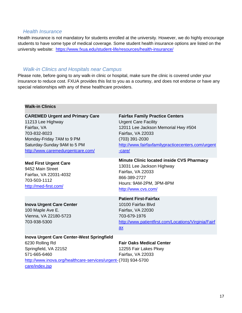#### <span id="page-17-0"></span>*Health Insurance*

Health insurance is not mandatory for students enrolled at the university. However, we do highly encourage students to have some type of medical coverage. Some student health insurance options are listed on the university website: <https://www.fxua.edu/student-life/resources/health-insurance/>

#### <span id="page-17-1"></span>*Walk-in Clinics and Hospitals near Campus*

Please note, before going to any walk-in clinic or hospital, make sure the clinic is covered under your insurance to reduce cost. FXUA provides this list to you as a courtesy, and does not endorse or have any special relationships with any of these healthcare providers.

#### **Walk-in Clinics**

#### **CAREMED Urgent and Primary Care**

11213 Lee Highway Fairfax, VA 703-832-8023 Monday-Friday 7AM to 9 PM Saturday-Sunday 9AM to 5 PM <http://www.caremedurgentcare.com/>

#### **Med First Urgent Care** 9452 Main Street

Fairfax, VA 22031-4032 703-503-1112 <http://med-first.com/>

#### **Inova Urgent Care Center** 100 Maple Ave E. Vienna, VA 22180-5723 703-938-5300

#### **Fairfax Family Practice Centers** Urgent Care Facility 12011 Lee Jackson Memorial Hwy #504 Fairfax, VA 22033 (703) 391-2030 [http://www.fairfaxfamilypracticecenters.com/urgent](http://www.fairfaxfamilypracticecenters.com/urgent-care/) [-care/](http://www.fairfaxfamilypracticecenters.com/urgent-care/)

**Minute Clinic located inside CVS Pharmacy** 13031 Lee Jackson Highway Fairfax, VA 22033 866-389-2727 Hours: 9AM-2PM, 3PM-8PM [http://www.cvs.com/](http://www.cvs.com/minuteclinic/clinic-locator/clinicdetails.jsp?storeId=1417&WT.mc_id=LS_MC_GOOGLE_1417)

#### **Patient First-Fairfax**

10100 Fairfax Blvd Fairfax, VA 22030 703-679-1976 [http://www.patientfirst.com/Locations/Virginia/Fairf](http://www.patientfirst.com/Locations/Virginia/Fairfax) [ax](http://www.patientfirst.com/Locations/Virginia/Fairfax)

# **Inova Urgent Care Center-West Springfield**

6230 Rolling Rd Springfield, VA 22152 571-665-6460 [http://www.inova.org/healthcare-services/urgent-](http://www.inova.org/healthcare-services/urgent-care/index.jsp)(703) 934-5700[care/index.jsp](http://www.inova.org/healthcare-services/urgent-care/index.jsp) **Fair Oaks Medical Center** 12255 Fair Lakes Pkwy Fairfax, VA 22033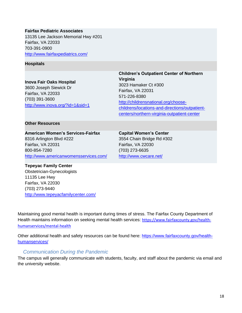# **Fairfax Pediatric Associates**

13135 Lee Jackson Memorial Hwy #201 Fairfax, VA 22033 703-391-0900 <http://www.fairfaxpediatrics.com/>

#### **Hospitals**

**Inova Fair Oaks Hospital** 3600 Joseph Siewick Dr Fairfax, VA 22033 (703) 391-3600 <http://www.inova.org/?id=1&sid=1> **Children's Outpatient Center of Northern Virginia** 3023 Hamaker Ct #300 Fairfax, VA 22031 571-226-8380 [http://childrensnational.org/choose](http://childrensnational.org/choose-childrens/locations-and-directions/outpatient-centers/northern-virginia-outpatient-center)[childrens/locations-and-directions/outpatient](http://childrensnational.org/choose-childrens/locations-and-directions/outpatient-centers/northern-virginia-outpatient-center)[centers/northern-virginia-outpatient-center](http://childrensnational.org/choose-childrens/locations-and-directions/outpatient-centers/northern-virginia-outpatient-center)

#### **Other Resources**

**American Women's Services-Fairfax** 8316 Arlington Blvd #222 Fairfax, VA 22031 800-854-7280 <http://www.americanwomensservices.com/>

# **Tepeyac Family Center**

Obstetrician-Gynecologists 11135 Lee Hwy Fairfax, VA 22030 (703) 273-9440 <http://www.tepeyacfamilycenter.com/> **Capital Women's Center** 3554 Chain Bridge Rd #302 Fairfax, VA 22030 (703) 273-6635 <http://www.cwcare.net/>

Maintaining good mental health is important during times of stress. The Fairfax County Department of Health maintains information on seeking mental health services: [https://www.fairfaxcounty.gov/health](https://www.fairfaxcounty.gov/health-humanservices/mental-health)[humanservices/mental-health](https://www.fairfaxcounty.gov/health-humanservices/mental-health)

Other additional health and safety resources can be found here: [https://www.fairfaxcounty.gov/health](https://www.fairfaxcounty.gov/health-humanservices/)[humanservices/](https://www.fairfaxcounty.gov/health-humanservices/)

#### *Communication During the Pandemic*

<span id="page-18-0"></span>The campus will generally communicate with students, faculty, and staff about the pandemic via email and the university website.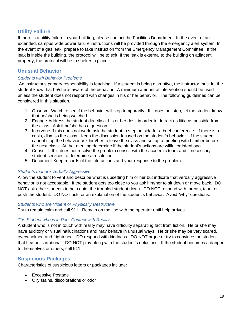#### <span id="page-19-0"></span>**Utility Failure**

If there is a utility failure in your building, please contact the Facilities Department. In the event of an extended, campus wide power failure instructions will be provided through the emergency alert system. In the event of a gas leak, prepare to take instruction from the Emergency Management Committee. If the leak is inside the building, the protocol will be to exit. If the leak is external to the building on adjacent property, the protocol will be to shelter in place.

#### <span id="page-19-1"></span>**Unusual Behavior**

#### *Students with Behavior Problems*

An instructor's primary responsibility is teaching. If a student is being disruptive, the instructor must let the student know that he/she is aware of the behavior. A minimum amount of intervention should be used unless the student does not respond with changes in his or her behavior. The following guidelines can be considered in this situation.

- 1. Observe- Watch to see if the behavior will stop temporarily. If it does not stop, let the student know that he/she is being watched.
- 2. Engage-Address the student directly at his or her desk in order to detract as little as possible from the class. Ask if he/she has a question.
- 3. Intervene-If this does not work, ask the student to step outside for a brief conference. If there is a crisis, dismiss the class. Keep the discussion focused on the student's behavior. If the student cannot stop the behavior ask him/her to leave the class and set up a meeting with him/her before the next class. At that meeting determine if the student's actions are willful or intentional.
- 4. Consult-If this does not resolve the problem consult with the academic team and if necessary student services to determine a resolution.
- 5. Document-Keep records of the interactions and your response to the problem.

#### *Students that are Verbally Aggressive*

Allow the student to vent and describe what is upsetting him or her but indicate that verbally aggressive behavior is not acceptable. If the student gets too close to you ask him/her to sit down or move back. DO NOT ask other students to help quiet the troubled student down. DO NOT respond with threats, taunt or push the student. DO NOT ask for an explanation of the student's behavior. Avoid "why" questions.

#### *Students who are Violent or Physically Destructive*

Try to remain calm and call 911. Remain on the line with the operator until help arrives.

#### *The Student who is in Poor Contact with Reality*

A student who is not in touch with reality may have difficulty separating fact from fiction. He or she may have auditory or visual hallucinations and may behave in unusual ways. He or she may be very scared, overwhelmed and frightened. DO respond with kindness. DO NOT argue or try to convince the student that he/she is irrational. DO NOT play along with the student's delusions. If the student becomes a danger to themselves or others, call 911.

#### <span id="page-19-2"></span>**Suspicious Packages**

Characteristics of suspicious letters or packages include:

- Excessive Postage
- Oily stains, discolorations or odor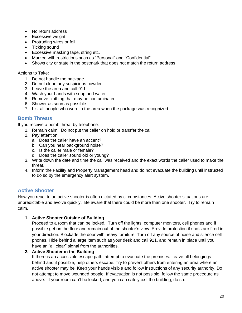- No return address
- Excessive weight
- Protruding wires or foil
- Ticking sound
- Excessive masking tape, string etc.
- Marked with restrictions such as "Personal" and "Confidential"
- Shows city or state in the postmark that does not match the return address

Actions to Take:

- 1. Do not handle the package
- 2. Do not clean any suspicious powder
- 3. Leave the area and call 911
- 4. Wash your hands with soap and water
- 5. Remove clothing that may be contaminated
- 6. Shower as soon as possible
- 7. List all people who were in the area when the package was recognized

#### <span id="page-20-0"></span>**Bomb Threats**

If you receive a bomb threat by telephone:

- 1. Remain calm. Do not put the caller on hold or transfer the call.
- 2. Pay attention!
	- a. Does the caller have an accent?
	- b. Can you hear background noise?
	- c. Is the caller male or female?
	- d. Does the caller sound old or young?
- 3. Write down the date and time the call was received and the exact words the caller used to make the threat.
- 4. Inform the Facility and Property Management head and do not evacuate the building until instructed to do so by the emergency alert system.

#### <span id="page-20-1"></span>**Active Shooter**

How you react to an active shooter is often dictated by circumstances. Active shooter situations are unpredictable and evolve quickly. Be aware that there could be more than one shooter. Try to remain calm.

#### **1. Active Shooter Outside of Building**

Proceed to a room that can be locked. Turn off the lights, computer monitors, cell phones and if possible get on the floor and remain out of the shooter's view. Provide protection if shots are fired in your direction. Blockade the door with heavy furniture. Turn off any source of noise and silence cell phones. Hide behind a large item such as your desk and call 911. and remain in place until you have an "all clear" signal from the authorities.

#### **2. Active Shooter in the Building**

If there is an accessible escape path, attempt to evacuate the premises. Leave all belongings behind and if possible, help others escape. Try to prevent others from entering an area where an active shooter may be. Keep your hands visible and follow instructions of any security authority. Do not attempt to move wounded people. If evacuation is not possible, follow the same procedure as above. If your room can't be locked, and you can safely exit the building, do so.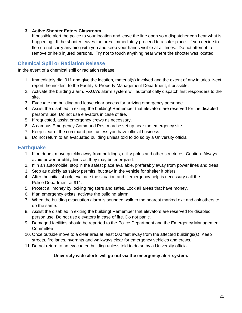#### **3. Active Shooter Enters Classroom**

If possible alert the police to your location and leave the line open so a dispatcher can hear what is happening. If the shooter leaves the area, immediately proceed to a safer place. If you decide to flee do not carry anything with you and keep your hands visible at all times. Do not attempt to remove or help injured persons. Try not to touch anything near where the shooter was located.

#### <span id="page-21-0"></span>**Chemical Spill or Radiation Release**

In the event of a chemical spill or radiation release:

- 1. Immediately dial 911 and give the location, material(s) involved and the extent of any injuries. Next, report the incident to the Facility & Property Management Department, if possible.
- 2. Activate the building alarm. FXUA's alarm system will automatically dispatch first responders to the site.
- 3. Evacuate the building and leave clear access for arriving emergency personnel.
- 4. Assist the disabled in exiting the building! Remember that elevators are reserved for the disabled person's use. Do not use elevators in case of fire.
- 5. If requested, assist emergency crews as necessary.
- 6. A campus Emergency Command Post may be set up near the emergency site.
- 7. Keep clear of the command post unless you have official business.
- 8. Do not return to an evacuated building unless told to do so by a University official.

#### <span id="page-21-1"></span>**Earthquake**

- 1. If outdoors, move quickly away from buildings, utility poles and other structures. Caution: Always avoid power or utility lines as they may be energized.
- 2. If in an automobile, stop in the safest place available, preferably away from power lines and trees.
- 3. Stop as quickly as safety permits, but stay in the vehicle for shelter it offers.
- 4. After the initial shock, evaluate the situation and if emergency help is necessary call the Police Department at 911.
- 5. Protect all money by locking registers and safes. Lock all areas that have money.
- 6. If an emergency exists, activate the building alarm.
- 7. When the building evacuation alarm is sounded walk to the nearest marked exit and ask others to do the same.
- 8. Assist the disabled in exiting the building! Remember that elevators are reserved for disabled person use. Do not use elevators in case of fire. Do not panic.
- 9. Damaged facilities should be reported to the Police Department and the Emergency Management **Committee**
- 10. Once outside move to a clear area at least 500 feet away from the affected buildings(s). Keep streets, fire lanes, hydrants and walkways clear for emergency vehicles and crews.
- 11. Do not return to an evacuated building unless told to do so by a University official.

#### **University wide alerts will go out via the emergency alert system.**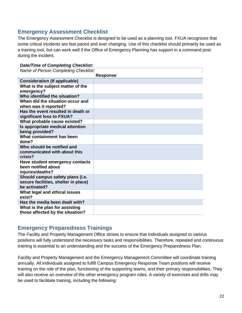# <span id="page-22-0"></span>**Emergency Assessment Checklist**

The Emergency Assessment Checklist is designed to be used as a planning tool. FXUA recognizes that some critical incidents are fast paced and ever changing. Use of this checklist should primarily be used as a training tool, but can work well if the Office of Emergency Planning has support in a command post during the incident.

#### *Date/Time of Completing Checklist:*

*Name of Person Completing Checklist:*

| <b>Response</b>                                                                           |  |  |
|-------------------------------------------------------------------------------------------|--|--|
| <b>Consideration (If applicable)</b>                                                      |  |  |
| What is the subject matter of the<br>emergency?                                           |  |  |
| Who identified the situation?                                                             |  |  |
| When did the situation occur and<br>when was it reported?                                 |  |  |
| Has the event resulted in death or<br>significant loss to FXUA?                           |  |  |
| What probable cause existed?                                                              |  |  |
| Is appropriate medical attention<br>being provided?                                       |  |  |
| What containment has been<br>done?                                                        |  |  |
| Who should be notified and<br>communicated with about this<br>crisis?                     |  |  |
| Have student emergency contacts<br>been notified about<br>injuries/deaths?                |  |  |
| Should campus safety plans (i.e.<br>secure facilities, shelter in place)<br>be activated? |  |  |
| What legal and ethical issues<br>exist?                                                   |  |  |
| Has the media been dealt with?                                                            |  |  |
| What is the plan for assisting<br>those affected by the situation?                        |  |  |

# <span id="page-22-1"></span>**Emergency Preparedness Trainings**

The Facility and Property Management Office strives to ensure that individuals assigned to various positions will fully understand the necessary tasks and responsibilities. Therefore, repeated and continuous training is essential to an understanding and the success of the Emergency Preparedness Plan.

Facility and Property Management and the Emergency Management Committee will coordinate training annually. All individuals assigned to fulfill Campus Emergency Response Team positions will receive training on the role of the plan, functioning of the supporting teams, and their primary responsibilities. They will also receive an overview of the other emergency program roles. A variety of exercises and drills may be used to facilitate training, including the following: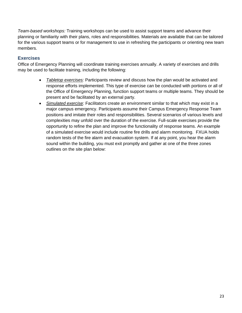*Team-based workshops:* Training workshops can be used to assist support teams and advance their planning or familiarity with their plans, roles and responsibilities. Materials are available that can be tailored for the various support teams or for management to use in refreshing the participants or orienting new team members.

#### <span id="page-23-0"></span>**Exercises**

Office of Emergency Planning will coordinate training exercises annually. A variety of exercises and drills may be used to facilitate training, including the following:

- *Tabletop exercises:* Participants review and discuss how the plan would be activated and response efforts implemented. This type of exercise can be conducted with portions or all of the Office of Emergency Planning, function support teams or multiple teams. They should be present and be facilitated by an external party.
- *Simulated exercise:* Facilitators create an environment similar to that which may exist in a major campus emergency. Participants assume their Campus Emergency Response Team positions and imitate their roles and responsibilities. Several scenarios of various levels and complexities may unfold over the duration of the exercise. Full-scale exercises provide the opportunity to refine the plan and improve the functionality of response teams. An example of a simulated exercise would include routine fire drills and alarm monitoring. FXUA holds random tests of the fire alarm and evacuation system. If at any point, you hear the alarm sound within the building, you must exit promptly and gather at one of the three zones outlines on the site plan below: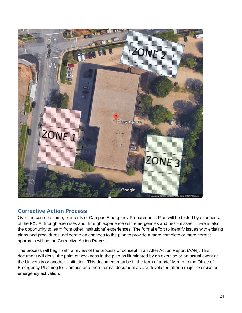

# <span id="page-24-0"></span>**Corrective Action Process**

Over the course of time, elements of Campus Emergency Preparedness Plan will be tested by experience of the FXUA through exercises and through experience with emergencies and near-misses. There is also the opportunity to learn from other institutions' experiences. The formal effort to identify issues with existing plans and procedures, deliberate on changes to the plan to provide a more complete or more correct approach will be the Corrective Action Process.

The process will begin with a review of the process or concept in an After Action Report (AAR). This document will detail the point of weakness in the plan as illuminated by an exercise or an actual event at the University or another institution. This document may be in the form of a brief Memo to the Office of Emergency Planning for Campus or a more formal document as are developed after a major exercise or emergency activation.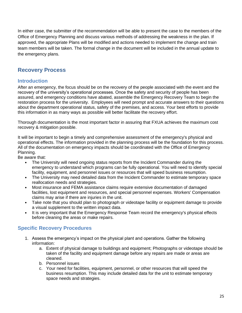In either case, the submitter of the recommendation will be able to present the case to the members of the Office of Emergency Planning and discuss various methods of addressing the weakness in the plan. If approved, the appropriate Plans will be modified and actions needed to implement the change and train team members will be taken. The formal change in the document will be included in the annual update to the emergency plans.

# <span id="page-25-0"></span>**Recovery Process**

# <span id="page-25-1"></span>**Introduction**

After an emergency, the focus should be on the recovery of the people associated with the event and the recovery of the university's operational processes. Once the safety and security of people has been assured, and emergency conditions have abated, assemble the Emergency Recovery Team to begin the restoration process for the university. Employees will need prompt and accurate answers to their questions about the department operational status, safety of the premises, and access. Your best efforts to provide this information in as many ways as possible will better facilitate the recovery effort.

Thorough documentation is the most important factor in assuring that FXUA achieves the maximum cost recovery & mitigation possible.

It will be important to begin a timely and comprehensive assessment of the emergency's physical and operational effects. The information provided in the planning process will be the foundation for this process. All of the documentation on emergency impacts should be coordinated with the Office of Emergency Planning.

Be aware that:

- The University will need ongoing status reports from the Incident Commander during the emergency to understand which programs can be fully operational. You will need to identify special facility, equipment, and personnel issues or resources that will speed business resumption.
- The University may need detailed data from the Incident Commander to estimate temporary space reallocation needs and strategies.
- Most insurance and FEMA assistance claims require extensive documentation of damaged facilities, lost equipment and resources, and special personnel expenses. Workers' Compensation claims may arise if there are injuries in the unit.
- Take note that you should plan to photograph or videotape facility or equipment damage to provide a visual supplement to the written impact data.
- It is very important that the Emergency Response Team record the emergency's physical effects before cleaning the areas or make repairs.

#### **Specific Recovery Procedures**

- 1. Assess the emergency's impact on the physical plant and operations. Gather the following information:
	- a. Extent of physical damage to buildings and equipment; Photographs or videotape should be taken of the facility and equipment damage before any repairs are made or areas are cleaned.
	- b. Personnel issues
	- c. Your need for facilities, equipment, personnel, or other resources that will speed the business resumption. This may include detailed data for the unit to estimate temporary space needs and strategies.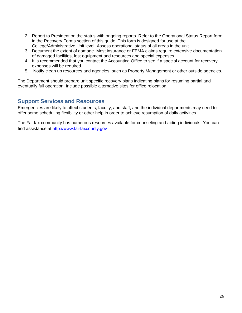- 2. Report to President on the status with ongoing reports. Refer to the Operational Status Report form in the Recovery Forms section of this guide. This form is designed for use at the College/Administrative Unit level. Assess operational status of all areas in the unit.
- 3. Document the extent of damage. Most insurance or FEMA claims require extensive documentation of damaged facilities, lost equipment and resources and special expenses.
- 4. It is recommended that you contact the Accounting Office to see if a special account for recovery expenses will be required.
- 5. Notify clean up resources and agencies, such as Property Management or other outside agencies.

The Department should prepare unit specific recovery plans indicating plans for resuming partial and eventually full operation. Include possible alternative sites for office relocation.

#### <span id="page-26-0"></span>**Support Services and Resources**

Emergencies are likely to affect students, faculty, and staff, and the individual departments may need to offer some scheduling flexibility or other help in order to achieve resumption of daily activities.

The Fairfax community has numerous resources available for counseling and aiding individuals. You can find assistance at [http://www.fairfaxcounty.gov](http://www.fairfaxcounty.gov/)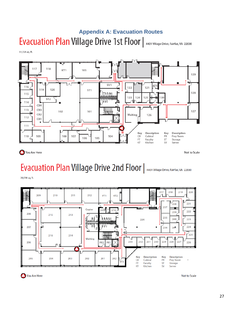# <span id="page-27-0"></span>**Appendix A: Evacuation Routes**Evacuation Plan Village Drive 1st Floor | 4401 Village Drive, Fairfax, VA 22030

11,725 sq. ft.



You Are Here

Not to Scale

# Evacuation Plan Village Drive 2nd Floor | 4401 Village Drive, Fairfax, VA 22030

20,038 sq. ft.





Not to Scale